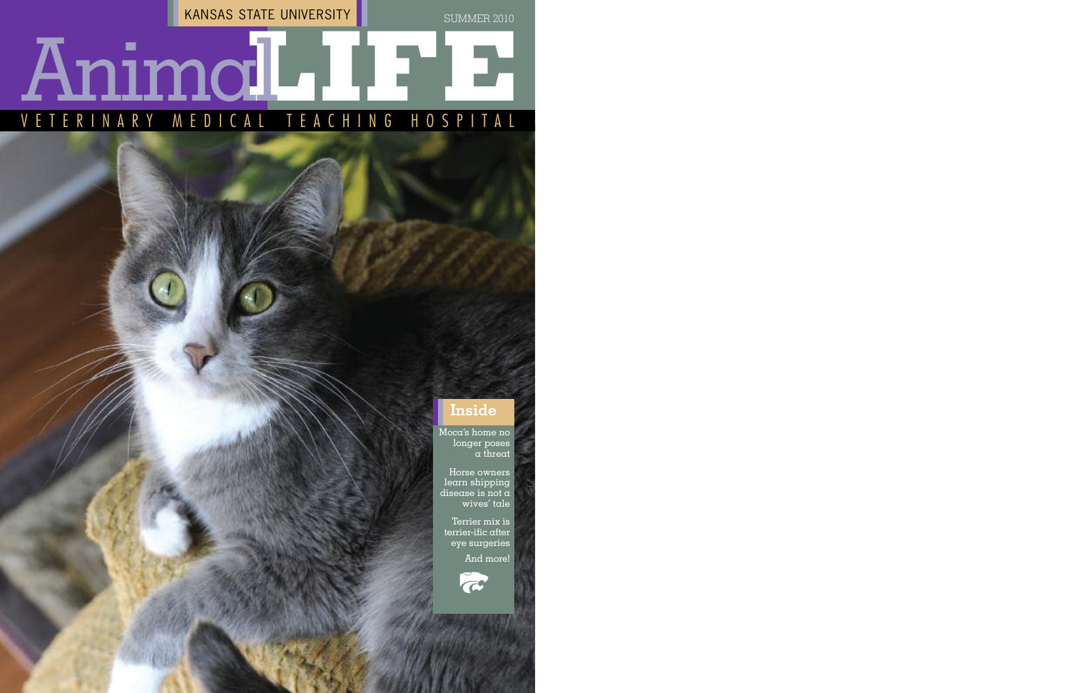Moca's home no longer poses a threat

Horse owners learn shipping disease is not a wives' tale

# V E T E R I N A R Y **L** Animal MEDICAL TEACHING HOSPITAL **IFE**

Terrier mix is terrier-ific after eye surgeries

And more!

KANSAS STATE UNIVERSITY

SUMMER 2010

#### **Inside**

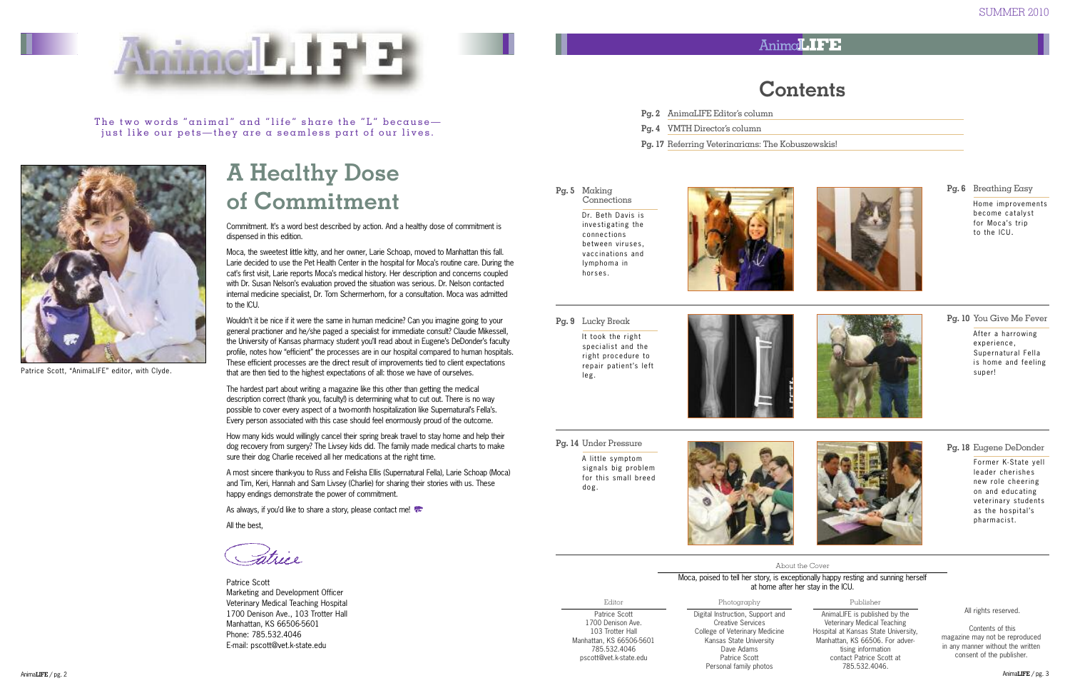

The two words "animal" and "life" share the "L" becausejust like our pets—they are a seamless part of our lives.

Editor Patrice Scott 1700 Denison Ave. 103 Trotter Hall Manhattan, KS 66506-5601 785.532.4046 pscott@vet.k-state.edu



#### Photography

Digital Instruction, Support and Creative Services College of Veterinary Medicine Kansas State University Dave Adams Patrice Scott Personal family photos

#### Publisher

Former K-State yell leader cherishes new role cheering on and educating veterinary students as the hospital's pharmacist.

AnimaLIFE is published by the Veterinary Medical Teaching Hospital at Kansas State University, Manhattan, KS 66506. For advertising information contact Patrice Scott at 785.532.4046.

All rights reserved.

**Pg. 5** Making **Connections** 

Contents of this magazine may not be reproduced in any manner without the written consent of the publisher.

Dr. Beth Davis is investigating the connections between viruses, vaccinations and lymphoma in horses.



#### Anima**LIFE**

### **Contents**









#### **Pg. 18** Eugene DeDonder

A little symptom signals big problem for this small breed dog.

#### About the Cover

Moca, poised to tell her story, is exceptionally happy resting and sunning herself at home after her stay in the ICU.

#### **Pg. 9** Lucky Break It took the right specialist and the right procedure to

repair patient's left



leg.

**Pg. 6** Breathing Easy Home improvements become catalyst for Moca's trip to the ICU.

- **Pg. 2** AnimaLIFE Editor's column
- **Pg. 4** VMTH Director's column
- **Pg. 17** Referring Veterinarians: The Kobuszewskis!

#### **Pg. 14** Under Pressure



Patrice Scott, "AnimaLIFE" editor, with Clyde.

Wouldn't it be nice if it were the same in human medicine? Can you imagine going to your general practioner and he/she paged a specialist for immediate consult? Claudie Mikessell, the University of Kansas pharmacy student you'll read about in Eugene's DeDonder's faculty profile, notes how "efficient" the processes are in our hospital compared to human hospitals. These efficient processes are the direct result of improvements tied to client expectations that are then tied to the highest expectations of all: those we have of ourselves.

Patrice Scott Marketing and Development Officer Veterinary Medical Teaching Hospital 1700 Denison Ave., 103 Trotter Hall Manhattan, KS 66506-5601 Phone: 785.532.4046 E-mail: pscott@vet.k-state.edu

# **A Healthy Dose of Commitment**

**Pg. 10** You Give Me Fever

After a harrowing experience, Supernatural Fella is home and feeling super!



Commitment. It's a word best described by action. And a healthy dose of commitment is dispensed in this edition.

Moca, the sweetest little kitty, and her owner, Larie Schoap, moved to Manhattan this fall. Larie decided to use the Pet Health Center in the hospital for Moca's routine care. During the cat's first visit, Larie reports Moca's medical history. Her description and concerns coupled with Dr. Susan Nelson's evaluation proved the situation was serious. Dr. Nelson contacted internal medicine specialist, Dr. Tom Schermerhorn, for a consultation. Moca was admitted to the ICU.

The hardest part about writing a magazine like this other than getting the medical description correct (thank you, faculty!) is determining what to cut out. There is no way possible to cover every aspect of a two-month hospitalization like Supernatural's Fella's. Every person associated with this case should feel enormously proud of the outcome.

How many kids would willingly cancel their spring break travel to stay home and help their dog recovery from surgery? The Livsey kids did. The family made medical charts to make sure their dog Charlie received all her medications at the right time.

A most sincere thank-you to Russ and Felisha Ellis (Supernatural Fella), Larie Schoap (Moca) and Tim, Keri, Hannah and Sam Livsey (Charlie) for sharing their stories with us. These happy endings demonstrate the power of commitment.

As always, if you'd like to share a story, please contact me!

All the best,

Fatrice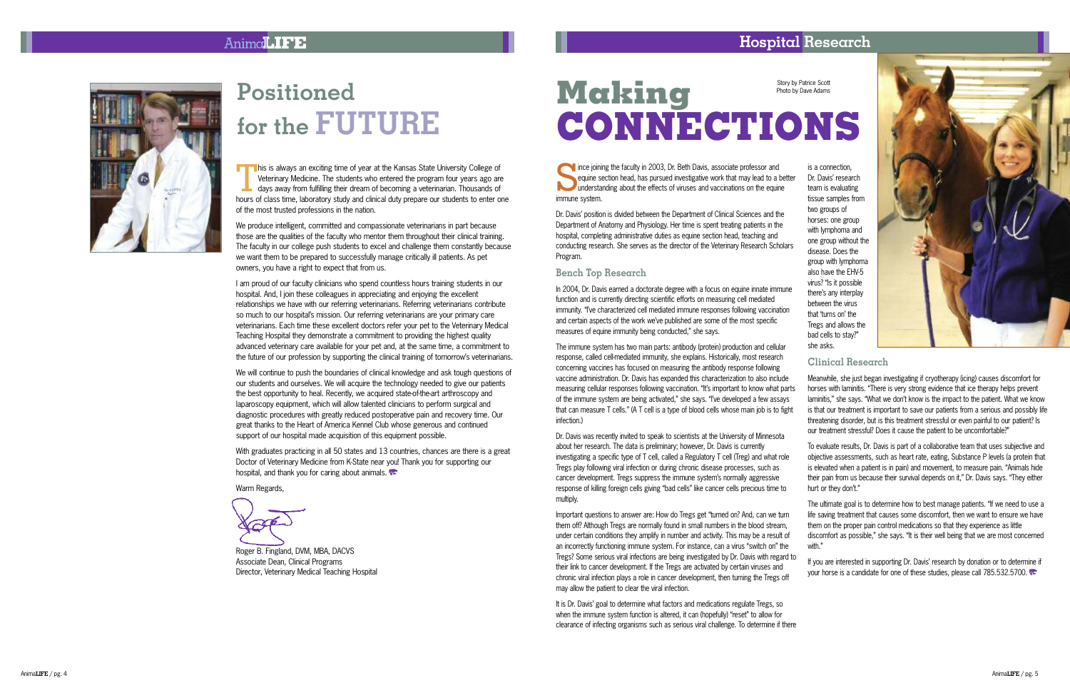#### Anima**LIFE**



Dr. Davis was recently invited to speak to scientists at the University of Minnesota about her research. The data is preliminary: however. Dr. Davis is currently investigating a specific type of T cell, called a Regulatory T cell (Treg) and what role Tregs play following viral infection or during chronic disease processes, such as cancer development. Tregs suppress the immune system's normally aggressive ' response of killing foreign cells giving "bad cells" like cancer cells precious time to multiply. To evaluate results, Dr. Davis is part of a collaborative team that uses subiective and objective assessments, such as heart rate, eating, Substance P levels (a protein that is elevated when a patient is in pain) and movement, to measure pain. "Animals hide their pain from us because their survival depends on it." Dr. Davis savs. "They either hurt or they don't." '

Important questions to answer are: How do Tregs get "turned on? And, can we turn them off? Although Tregs are normally found in small numbers in the blood stream. under certain conditions they amplify in number and activity. This may be a result of an incorrectly functioning immune system. For instance, can a virus "switch on" the Tregs? Some serious viral infections are being investigated by Dr. Davis with regard to their link to cancer development. If the Tregs are activated by certain viruses and chronic viral infection plays a role in cancer development, then turning the Tregs off may allow the patient to clear the viral infection. The ultimate goal is to determine how to best manage patients. "If we need to use a life saving treatment that causes some discomfort, then we want to ensure we have them on the proper pain control medications so that they experience as little discomfort as possible." she savs. "It is their well being that we are most concerned with." If you are interested in supporting Dr. Davis' research by donation or to determine if ' vour horse is a candidate for one of these studies, please call 785,532,5700.

It is Dr. Davis' goal to determine what factors and medications regulate Tregs, so ' when the immune system function is altered, it can (hopefully) "reset" to allow for clearance of infecting organisms such as serious viral challenge. To determine if there

#### ${\bf H}$ ospital  ${\bf Res}$ earch

Story by Patrice Scott Photo by Dave Adams



is a connection. Dr. Davis' research ' team is evaluating tissue samples from two groups of horses: one group with lymphoma and one group without the disease. Does the group with lymphoma also have the EHV-5 virus? "Is it possible there's any interplay ' between the virus that 'turns on' the ' ' Tregs and allows the bad cells to stav?" she asks.



# **P o s i t i o n e d** for the  $\bf FUTURE$

his is always an exciting time of year at the Kansas State University College of<br>Veterinary Medicine. The students who entered the program four years ago and<br>days away from fulfilling their dream of becoming a veterinarian Veterinary Medicine. The students who entered the program four vears ago are davs away from fulfilling their dream of becoming a veterinarian. Thousands of hours of class time, laboratory study and clinical duty prepare our students to enter one of the most trusted professions in the nation.

We produce intelligent, committed and compassionate veterinarians in part because those are the qualities of the faculty who mentor them throughout their clinical training. The faculty in our college push students to excel and challenge them constantly because we want them to be prepared to successfully manage critically ill patients. As pet owners, you have a right to expect that from us.

I am proud of our faculty clinicians who spend countless hours training students in our hospital, And, I join these colleagues in appreciating and enjoying the excellent relationships we have with our referring veterinarians. Referring veterinarians contribute so much to our hospital's mission. Our referring veterinarians are vour primary care ' veterinarians. Each time these excellent doctors refer your pet to the Veterinary Medical Teaching Hospital they demonstrate a commitment to providing the highest quality advanced veterinary care available for your pet and, at the same time, a commitment to the future of our profession by supporting the clinical training of tomorrow's veterinarians. '

We will continue to push the boundaries of clinical knowledge and ask tough questions of our students and ourselves. We will acquire the technology needed to give our patients the best opportunity to heal. Recently, we acquired state-of-the-art arthroscopy and laparoscopy equipment, which will allow talented clinicians to perform surgical and diagnostic procedures with greatly reduced postoperative pain and recovery time. Our great thanks to the Heart of America Kennel Club whose generous and continued support of our hospital made acquisition of this equipment possible.

With graduates practicing in all 50 states and 13 countries, chances are there is a great Doctor of Veterinary Medicine from K-State near you! Thank you for supporting our ! hospital, and thank you for caring about animals.

Warm Regards.

Roger B, Fingland, DVM, MBA, DACVS Associate Dean, Clinical Programs Director, Veterinary Medical Teaching Hospital

# **C O N N E C T I O N S M a k i n g**

S ince ioining the faculty in 2003. Dr. Beth Davis, associate professor and equine section head, has pursued investigative work that may lead to a better understanding about the effects of viruses and vaccinations on the equine immune system.

Dr. Davis' position is divided between the Department of Clinical Sciences and the ' Department of Anatomy and Physiology. Her time is spent treating patients in the hospital, completing administrative duties as equine section head, teaching and conducting research. She serves as the director of the Veterinary Research Scholars Program.

#### Bench Top Research

In 2004, Dr. Davis earned a doctorate degree with a focus on equine innate immune function and is currently directing scientific efforts on measuring cell mediated immunity. "I've characterized cell mediated immune responses following vaccination ' and certain aspects of the work we've published are some of the most specific ' measures of equine immunity being conducted." she savs.

The immune system has two main parts: antibody (protein) production and cellular response, called cell-mediated immunity, she explains, Historically, most research concerning vaccines has focused on measuring the antibody response following vaccine administration. Dr. Davis has expanded this characterization to also include measuring cellular responses following vaccination. "It's important to know what parts ' of the immune system are being activated." she says, "I've developed a few assays ' that can measure T cells." (A T cell is a type of blood cells whose main iob is to fight infection.)  $\blacksquare$  Research Meanwhile, she iust began investigating if cryotherapy (icing) causes discomfort for horses with laminitis. "There is very strong evidence that ice therapy helps prevent laminitis." she savs. "What we don't know is the impact to the patient. What we know ' is that our treatment is important to save our patients from a serious and possibly life threatening disorder, but is this treatment stressful or even painful to our patient? Is our treatment stressful? Does it cause the patient to be uncomfortable?"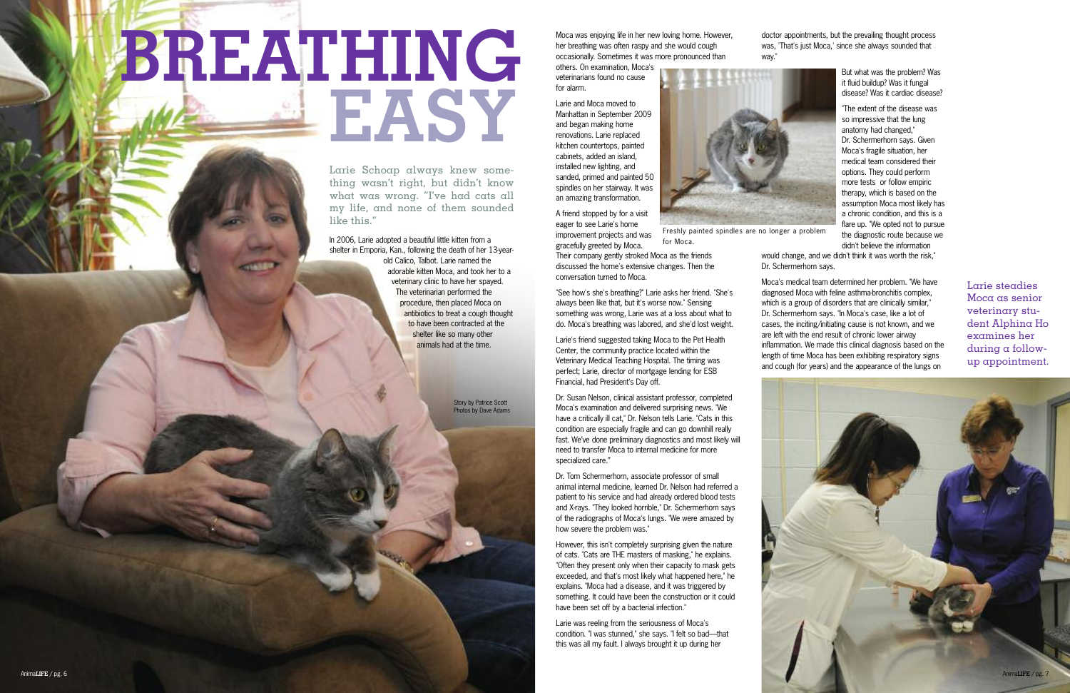Moca was enjoying life in her new loving home. However, her breathing was often raspy and she would cough occasionally. Sometimes it was more pronounced than

others. On examination, Moca's veterinarians found no cause for alarm.

Larie and Moca moved to Manhattan in September 2009 and began making home renovations. Larie replaced kitchen countertops, painted cabinets, added an island, installed new lighting, and sanded, primed and painted 50 spindles on her stairway. It was an amazing transformation.

A friend stopped by for a visit eager to see Larie's home improvement projects and was gracefully greeted by Moca.

Their company gently stroked Moca as the friends discussed the home's extensive changes. Then the conversation turned to Moca.

"See how's she's breathing?" Larie asks her friend. "She's always been like that, but it's worse now." Sensing something was wrong, Larie was at a loss about what to do. Moca's breathing was labored, and she'd lost weight.

Larie's friend suggested taking Moca to the Pet Health Center, the community practice located within the Veterinary Medical Teaching Hospital. The timing was perfect; Larie, director of mortgage lending for ESB Financial, had President's Day off.

Dr. Susan Nelson, clinical assistant professor, completed Moca's examination and delivered surprising news. "We have a critically ill cat," Dr. Nelson tells Larie. "Cats in this condition are especially fragile and can go downhill really fast. We've done preliminary diagnostics and most likely will need to transfer Moca to internal medicine for more specialized care."

Dr. Tom Schermerhorn, associate professor of small animal internal medicine, learned Dr. Nelson had referred a patient to his service and had already ordered blood tests and X-rays. "They looked horrible," Dr. Schermerhorn says of the radiographs of Moca's lungs. "We were amazed by how severe the problem was."

However, this isn't completely surprising given the nature of cats. "Cats are THE masters of masking," he explains. "Often they present only when their capacity to mask gets exceeded, and that's most likely what happened here," he explains. "Moca had a disease, and it was triggered by something. It could have been the construction or it could have been set off by a bacterial infection."

Larie was reeling from the seriousness of Moca's condition. "I was stunned," she says. "I felt so bad—that this was all my fault. I always brought it up during her



doctor appointments, but the prevailing thought process was, 'That's just Moca,' since she always sounded that

way."

But what was the problem? Was it fluid buildup? Was it fungal disease? Was it cardiac disease?

"The extent of the disease was so impressive that the lung anatomy had changed," Dr. Schermerhorn says. Given Moca's fragile situation, her medical team considered their options. They could perform more tests or follow empiric therapy, which is based on the assumption Moca most likely has a chronic condition, and this is a flare up. "We opted not to pursue the diagnostic route because we didn't believe the information

would change, and we didn't think it was worth the risk," Dr. Schermerhorn says.

Moca's medical team determined her problem. "We have diagnosed Moca with feline asthma-bronchitis complex, which is a group of disorders that are clinically similar," Dr. Schermerhorn says. "In Moca's case, like a lot of cases, the inciting/initiating cause is not known, and we are left with the end result of chronic lower airway inflammation. We made this clinical diagnosis based on the length of time Moca has been exhibiting respiratory signs and cough (for years) and the appearance of the lungs on

# **BREATHING EASY**

Story by Patrice Scott Photos by Dave Adams



Larie steadies Moca as senior veterinary student Alphina Ho examines her during a followup appointment.

Larie Schoap always knew something wasn't right, but didn't know what was wrong. "I've had cats all my life, and none of them sounded like this."

In 2006, Larie adopted a beautiful little kitten from a shelter in Emporia, Kan., following the death of her 13-yearold Calico, Talbot. Larie named the adorable kitten Moca, and took her to a veterinary clinic to have her spayed. The veterinarian performed the procedure, then placed Moca on antibiotics to treat a cough thought to have been contracted at the shelter like so many other animals had at the time.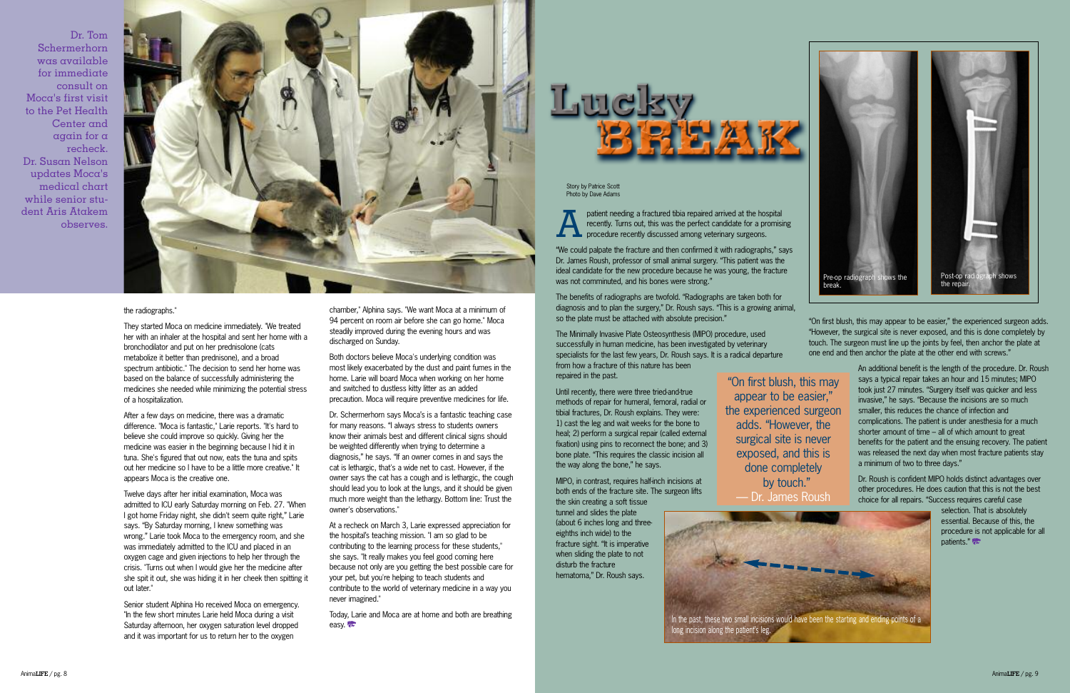patient needing a fractured tibia repaired arrived at the hospital<br>recently. Turns out, this was the perfect candidate for a promis<br>procedure recently discussed among veterinary surgeons. recently. Turns out, this was the perfect candidate for a promising procedure recently discussed among veterinary surgeons.

"We could palpate the fracture and then confirmed it with radiographs," says Dr. James Roush, professor of small animal surgery. "This patient was the ideal candidate for the new procedure because he was young, the fracture was not comminuted, and his bones were strong."

The benefits of radiographs are twofold. "Radiographs are taken both for diagnosis and to plan the surgery," Dr. Roush says. "This is a growing animal, so the plate must be attached with absolute precision."

The Minimally Invasive Plate Osteosynthesis (MIPO) procedure, used successfully in human medicine, has been investigated by veterinary specialists for the last few years, Dr. Roush says. It is a radical departure from how a fracture of this nature has been repaired in the past.

Until recently, there were three tried-and-true methods of repair for humeral, femoral, radial or tibial fractures, Dr. Roush explains. They were: 1) cast the leg and wait weeks for the bone to heal; 2) perform a surgical repair (called external fixation) using pins to reconnect the bone; and 3) bone plate. "This requires the classic incision all the way along the bone," he says.

> selection. That is absolutely essential. Because of this, the procedure is not applicable for all patients."

MIPO, in contrast, requires half-inch incisions at both ends of the fracture site. The surgeon lifts the skin creating a soft tissue tunnel and slides the plate

(about 6 inches long and threeeighths inch wide) to the fracture sight. "It is imperative when sliding the plate to not disturb the fracture hematoma," Dr. Roush says.

"On first blush, this may appear to be easier," the experienced surgeon adds. "However, the surgical site is never exposed, and this is done completely by touch. The surgeon must line up the joints by feel, then anchor the plate at one end and then anchor the plate at the other end with screws."

> An additional benefit is the length of the procedure. Dr. Roush says a typical repair takes an hour and 15 minutes; MIPO took just 27 minutes. "Surgery itself was quicker and less invasive," he says. "Because the incisions are so much smaller, this reduces the chance of infection and complications. The patient is under anesthesia for a much shorter amount of time – all of which amount to great benefits for the patient and the ensuing recovery. The patient was released the next day when most fracture patients stay a minimum of two to three days."

Dr. Roush is confident MIPO holds distinct advantages over other procedures. He does caution that this is not the best choice for all repairs. "Success requires careful case

Story by Patrice Scott Photo by Dave Adams

> "On first blush, this may appear to be easier," the experienced surgeon adds. "However, the surgical site is never exposed, and this is done completely by touch." — Dr. James Roush



Today, Larie and Moca are at home and both are breathing easy.

long incision along the patient's leg.



#### the radiographs."

They started Moca on medicine immediately. "We treated her with an inhaler at the hospital and sent her home with a bronchodilator and put on her prednisolone (cats metabolize it better than prednisone), and a broad spectrum antibiotic." The decision to send her home was based on the balance of successfully administering the medicines she needed while minimizing the potential stress of a hospitalization.

After a few days on medicine, there was a dramatic difference. "Moca is fantastic," Larie reports. "It's hard to believe she could improve so quickly. Giving her the medicine was easier in the beginning because I hid it in tuna. She's figured that out now, eats the tuna and spits out her medicine so I have to be a little more creative." It appears Moca is the creative one.

Twelve days after her initial examination, Moca was admitted to ICU early Saturday morning on Feb. 27. "When I got home Friday night, she didn't seem quite right," Larie says. "By Saturday morning, I knew something was wrong." Larie took Moca to the emergency room, and she was immediately admitted to the ICU and placed in an oxygen cage and given injections to help her through the crisis. "Turns out when I would give her the medicine after she spit it out, she was hiding it in her cheek then spitting it out later."

Senior student Alphina Ho received Moca on emergency. "In the few short minutes Larie held Moca during a visit Saturday afternoon, her oxygen saturation level dropped and it was important for us to return her to the oxygen



chamber," Alphina says. "We want Moca at a minimum of 94 percent on room air before she can go home." Moca steadily improved during the evening hours and was discharged on Sunday.

Both doctors believe Moca's underlying condition was most likely exacerbated by the dust and paint fumes in the home. Larie will board Moca when working on her home and switched to dustless kitty litter as an added precaution. Moca will require preventive medicines for life.

Dr. Schermerhorn says Moca's is a fantastic teaching case for many reasons. "I always stress to students owners know their animals best and different clinical signs should be weighted differently when trying to determine a diagnosis," he says. "If an owner comes in and says the cat is lethargic, that's a wide net to cast. However, if the owner says the cat has a cough and is lethargic, the cough should lead you to look at the lungs, and it should be given much more weight than the lethargy. Bottom line: Trust the owner's observations."

At a recheck on March 3, Larie expressed appreciation for the hospital's teaching mission. "I am so glad to be contributing to the learning process for these students," she says. "It really makes you feel good coming here because not only are you getting the best possible care for your pet, but you're helping to teach students and contribute to the world of veterinary medicine in a way you never imagined."

Dr. Tom Schermerhorn was available for immediate consult on Moca's first visit to the Pet Health Center and again for a recheck. Dr. Susan Nelson updates Moca's medical chart while senior student Aris Atakem observes.

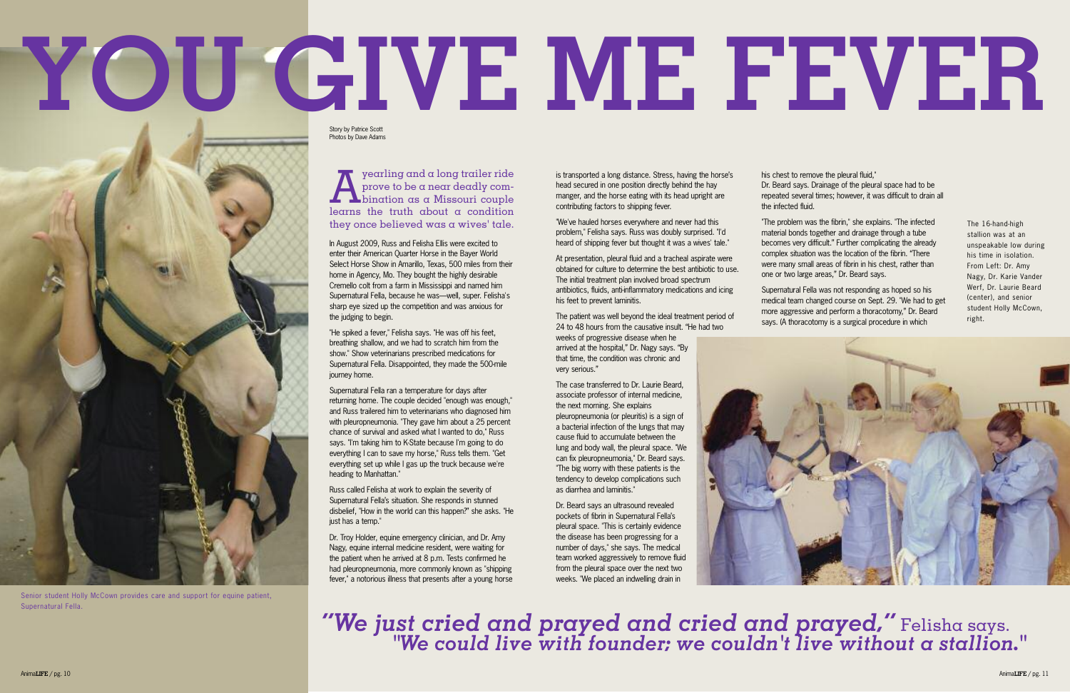$\sum_{\text{prove to be a near deadlock}}$  yearling and a long trailer ride<br>prove to be a near deadly combination as a Missouri couple prove to be a near deadly combination as a Missouri couple learns the truth about a condition they once believed was a wives' tale.

In August 2009, Russ and Felisha Ellis were excited to enter their American Quarter Horse in the Bayer World Select Horse Show in Amarillo, Texas, 500 miles from their home in Agency, Mo. They bought the highly desirable Cremello colt from a farm in Mississippi and named him Supernatural Fella, because he was—well, super. Felisha's sharp eye sized up the competition and was anxious for the judging to begin.

"He spiked a fever," Felisha says. "He was off his feet, breathing shallow, and we had to scratch him from the show." Show veterinarians prescribed medications for Supernatural Fella. Disappointed, they made the 500-mile journey home.

Supernatural Fella ran a temperature for days after returning home. The couple decided "enough was enough," and Russ trailered him to veterinarians who diagnosed him with pleuropneumonia. "They gave him about a 25 percent chance of survival and asked what I wanted to do," Russ says. "I'm taking him to K-State because I'm going to do everything I can to save my horse," Russ tells them. "Get everything set up while I gas up the truck because we're heading to Manhattan."

At presentation, pleural fluid and a tracheal aspirate were obtained for culture to determine the best antibiotic to use. The initial treatment plan involved broad spectrum antibiotics, fluids, anti-inflammatory medications and icing

Russ called Felisha at work to explain the severity of Supernatural Fella's situation. She responds in stunned disbelief, "How in the world can this happen?" she asks. "He just has a temp."

Dr. Troy Holder, equine emergency clinician, and Dr. Amy Nagy, equine internal medicine resident, were waiting for the patient when he arrived at 8 p.m. Tests confirmed he had pleuropneumonia, more commonly known as "shipping fever," a notorious illness that presents after a young horse is transported a long distance. Stress, having the horse's head secured in one position directly behind the hay manger, and the horse eating with its head upright are contributing factors to shipping fever.

"We've hauled horses everywhere and never had this problem," Felisha says. Russ was doubly surprised. "I'd heard of shipping fever but thought it was a wives' tale."

his feet to prevent laminitis.

The patient was well beyond the ideal treatment period of 24 to 48 hours from the causative insult. "He had two weeks of progressive disease when he

arrived at the hospital," Dr. Nagy says. "By that time, the condition was chronic and very serious."

The case transferred to Dr. Laurie Beard, associate professor of internal medicine, the next morning. She explains pleuropneumonia (or pleuritis) is a sign of a bacterial infection of the lungs that may cause fluid to accumulate between the lung and body wall, the pleural space. "We can fix pleuropneumonia," Dr. Beard says. "The big worry with these patients is the tendency to develop complications such as diarrhea and laminitis."

Dr. Beard says an ultrasound revealed pockets of fibrin in Supernatural Fella's pleural space. "This is certainly evidence the disease has been progressing for a number of days," she says. The medical team worked aggressively to remove fluid from the pleural space over the next two weeks. "We placed an indwelling drain in



his chest to remove the pleural fluid,"

Dr. Beard says. Drainage of the pleural space had to be repeated several times; however, it was difficult to drain all the infected fluid.

"The problem was the fibrin," she explains. "The infected material bonds together and drainage through a tube becomes very difficult." Further complicating the already complex situation was the location of the fibrin. "There were many small areas of fibrin in his chest, rather than one or two large areas," Dr. Beard says.

Supernatural Fella was not responding as hoped so his medical team changed course on Sept. 29. "We had to get more aggressive and perform a thoracotomy," Dr. Beard says. (A thoracotomy is a surgical procedure in which

# **YOU G I VE ME FEVER**

*"We just cried and prayed and cried and prayed, "* Felisha says. *"We could live with founder; we couldn't live without a stallion."*

The 16-hand-high stallion was at an unspeakable low during his time in isolation. From Left: Dr. Amy Nagy, Dr. Karie Vander Werf, Dr. Laurie Beard (center), and senior student Holly McCown, right.



Senior student Holly McCown provides care and support for equine patient, Supernatural Fella.

Photos by Dave Adams Story by Patrice Scott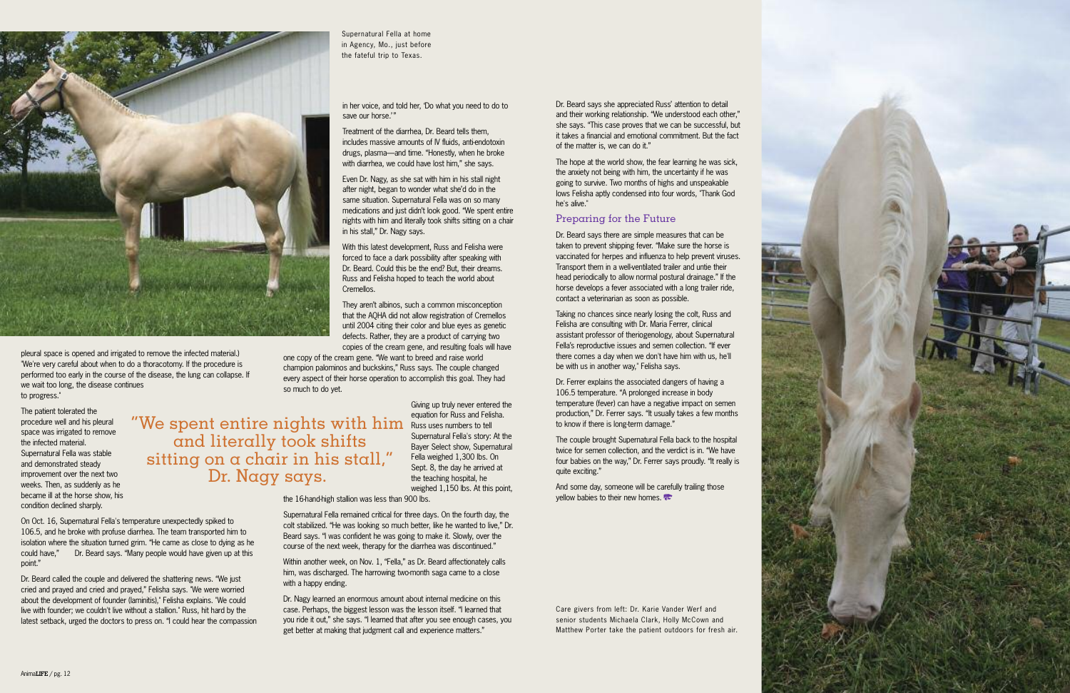

one copy of the cream gene. "We want to breed and raise world champion palominos and buckskins," Russ says. The couple changed every aspect of their horse operation to accomplish this goal. They had

so much to do yet.

Giving up truly never entered the equation for Russ and Felisha. Russ uses numbers to tell Supernatural Fella's story: At the Bayer Select show, Supernatural Fella weighed 1,300 lbs. On Sept. 8, the day he arrived at the teaching hospital, he weighed 1,150 lbs. At this point,

the 16-hand-high stallion was less than 900 lbs.

Supernatural Fella remained critical for three days. On the fourth day, the colt stabilized. "He was looking so much better, like he wanted to live," Dr. Beard says. "I was confident he was going to make it. Slowly, over the course of the next week, therapy for the diarrhea was discontinued."

The couple brought Supernatural Fella back to the hospital twice for semen collection, and the verdict is in. "We have four babies on the way," Dr. Ferrer says proudly. "It really is quite exciting."

Within another week, on Nov. 1, "Fella," as Dr. Beard affectionately calls him, was discharged. The harrowing two-month saga came to a close with a happy ending.

And some day, someone will be carefully trailing those vellow babies to their new homes.

Dr. Nagy learned an enormous amount about internal medicine on this case. Perhaps, the biggest lesson was the lesson itself. "I learned that you ride it out," she says. "I learned that after you see enough cases, you get better at making that judgment call and experience matters."

Dr. Beard says she appreciated Russ' attention to detail and their working relationship. "We understood each other," she says. "This case proves that we can be successful, but it takes a financial and emotional commitment. But the fact of the matter is, we can do it."

The hope at the world show, the fear learning he was sick, the anxiety not being with him, the uncertainty if he was going to survive. Two months of highs and unspeakable lows Felisha aptly condensed into four words, "Thank God he's alive."



#### Preparing for the Future

Dr. Beard says there are simple measures that can be taken to prevent shipping fever. "Make sure the horse is vaccinated for herpes and influenza to help prevent viruses. Transport them in a well-ventilated trailer and untie their head periodically to allow normal postural drainage." If the horse develops a fever associated with a long trailer ride, contact a veterinarian as soon as possible.

Taking no chances since nearly losing the colt, Russ and Felisha are consulting with Dr. Maria Ferrer, clinical assistant professor of theriogenology, about Supernatural Fella's reproductive issues and semen collection. "If ever there comes a day when we don't have him with us, he'll be with us in another way," Felisha says.

Dr. Ferrer explains the associated dangers of having a 106.5 temperature. "A prolonged increase in body temperature (fever) can have a negative impact on semen production," Dr. Ferrer says. "It usually takes a few months to know if there is long-term damage."

pleural space is opened and irrigated to remove the infected material.) "We're very careful about when to do a thoracotomy. If the procedure is performed too early in the course of the disease, the lung can collapse. If we wait too long, the disease continues to progress."

The patient tolerated the procedure well and his pleural space was irrigated to remove the infected material. Supernatural Fella was stable and demonstrated steady improvement over the next two weeks. Then, as suddenly as he became ill at the horse show, his condition declined sharply.

On Oct. 16, Supernatural Fella's temperature unexpectedly spiked to 106.5, and he broke with profuse diarrhea. The team transported him to isolation where the situation turned grim. "He came as close to dying as he could have," Dr. Beard says. "Many people would have given up at this point."

Dr. Beard called the couple and delivered the shattering news. "We just cried and prayed and cried and prayed," Felisha says. "We were worried about the development of founder (laminitis)," Felisha explains. "We could live with founder; we couldn't live without a stallion." Russ, hit hard by the latest setback, urged the doctors to press on. "I could hear the compassion

Care givers from left: Dr. Karie Vander Werf and senior students Michaela Clark, Holly McCown and Matthew Porter take the patient outdoors for fresh air.

"We spent entire nights with him and literally took shifts sitting on  $\alpha$  chair in his stall," Dr. Nagy says.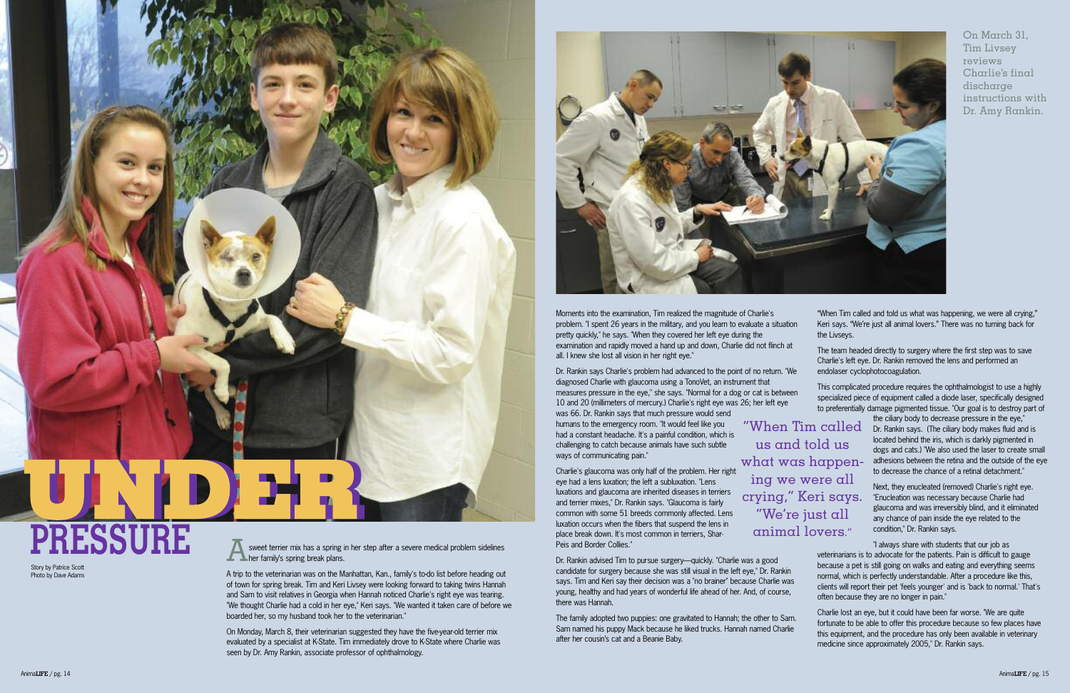A trip to the veterinarian was on the Manhattan, Kan., family's to-do list before heading out of town for spring break. Tim and Keri Livsey were looking forward to taking twins Hannah and Sam to visit relatives in Georgia when Hannah noticed Charlie's right eye was tearing. "We thought Charlie had a cold in her eye," Keri says. "We wanted it taken care of before we boarded her, so my husband took her to the veterinarian."

On Monday, March 8, their veterinarian suggested they have the five-year-old terrier mix evaluated by a specialist at K-State. Tim immediately drove to K-State where Charlie was seen by Dr. Amy Rankin, associate professor of ophthalmology.



Dr. Rankin says Charlie's problem had advanced to the point of no return. diagnosed Charlie with glaucoma using a TonoVet, an instrument that measures pressure in the eye," she says. "Normal for a dog or cat is between 10 and 20 (millimeters of mercury.) Charlie's right eye was 26; her left eye was 66. Dr. Rankin says that much pressure would send

Moments into the examination, Tim realized the magnitude of Charlie's problem. "I spent 26 years in the military, and you learn to evaluate a situation pretty quickly," he says. "When they covered her left eye during the examination and rapidly moved a hand up and down, Charlie did not flinch all. I knew she lost all vision in her right eye."

| of Charlie's<br>valuate a situation<br>ing the     | "When Tim called and told us what was happening, we were all crying,"<br>Keri says. "We're just all animal lovers." There was no turning back for<br>the Livseys.                                                                   |
|----------------------------------------------------|-------------------------------------------------------------------------------------------------------------------------------------------------------------------------------------------------------------------------------------|
| did not flinch at                                  | The team headed directly to surgery where the first step was to save<br>Charlie's left eye. Dr. Rankin removed the lens and performed an                                                                                            |
| t of no return. "We                                | endolaser cyclophotocoagulation.                                                                                                                                                                                                    |
| nent that<br>or cat is between<br>26; her left eye | This complicated procedure requires the ophthalmologist to use a highly<br>specialized piece of equipment called a diode laser, specifically designed<br>to preferentially damage pigmented tissue. "Our goal is to destroy part of |
| "When Tim called                                   | the ciliary body to decrease pressure in the eye,"<br>Dr. Rankin says. (The ciliary body makes fluid and is                                                                                                                         |

humans to the emergency room. "It would feel like you had a constant headache. It's a painful condition, which is challenging to catch because animals have such subtle ways of communicating pain."

Charlie's glaucoma was only half of the problem. Her right eye had a lens luxation; the left a subluxation. "Lens luxations and glaucoma are inherited diseases in terriers and terrier mixes," Dr. Rankin says. "Glaucoma is fairly common with some 51 breeds commonly affected. Lens luxation occurs when the fibers that suspend the lens in place break down. It's most common in terriers, Shar-Peis and Border Collies."

Dr. Rankin advised Tim to pursue surgery—quickly. "Charlie was a good candidate for surgery because she was still visual in the left eye," Dr. Rankin says. Tim and Keri say their decision was a "no brainer" because Charlie was young, healthy and had years of wonderful life ahead of her. And, of course, there was Hannah.

located behind the iris, which is darkly pigmented in dogs and cats.) "We also used the laser to create small adhesions between the retina and the outside of the eye to decrease the chance of a retinal detachment."

The family adopted two puppies: one gravitated to Hannah; the other to Sam. Sam named his puppy Mack because he liked trucks. Hannah named Charlie after her cousin's cat and a Beanie Baby. Charlie lost an eye, but it could have been far worse. "We are quite fortunate to be able to offer this procedure because so few places have this equipment, and the procedure has only been available in veterinary medicine since approximately 2005," Dr. Rankin says.

Next, they enucleated (removed) Charlie's right eye. "Enucleation was necessary because Charlie had glaucoma and was irreversibly blind, and it eliminated any chance of pain inside the eye related to the condition," Dr. Rankin says.

"I always share with students that our job as veterinarians is to advocate for the patients. Pain is difficult to gauge because a pet is still going on walks and eating and everything seems normal, which is perfectly understandable. After a procedure like this, clients will report their pet 'feels younger' and is 'back to normal.' That's often because they are no longer in pain."

us and told us what was happening we were all crying," Keri says. "We're just all animal lovers."



#### Story by Patrice Scott Photo by Dave Adams

sweet terrier mix has a spring in her step after a severe medical problem sidelines **Ther family's spring break plans.** 

On March 31, Tim Livsey reviews Charlie's final discharge instructions with Dr. Amy Rankin.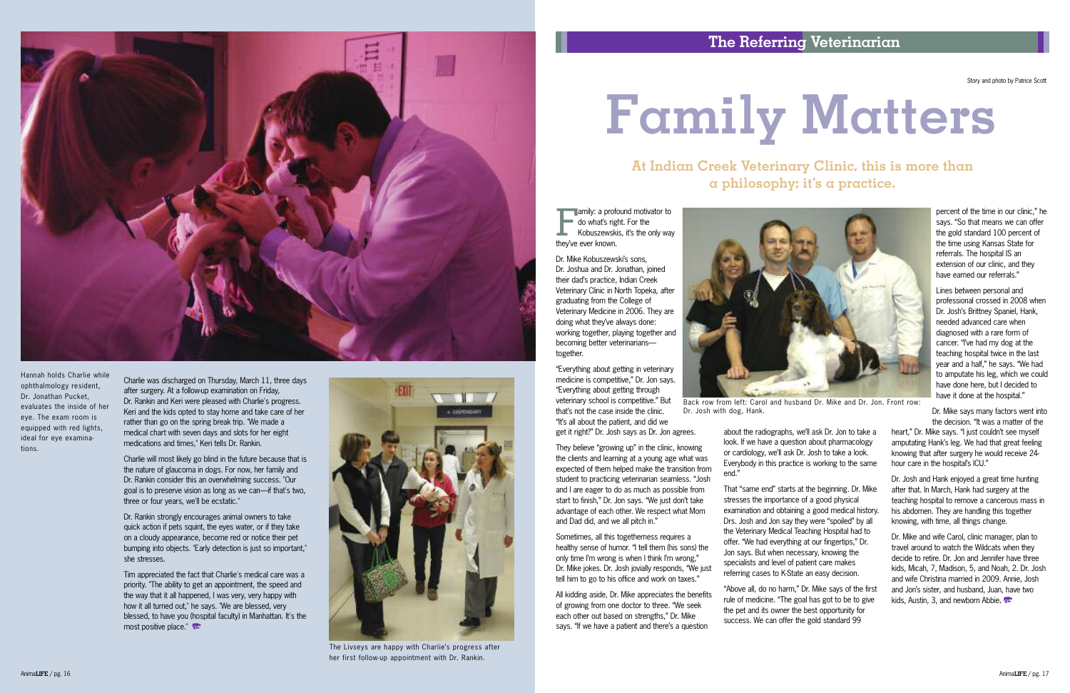Charlie was discharged on Thursday, March 11, three days after surgery. At a follow-up examination on Friday, Dr. Rankin and Keri were pleased with Charlie's progress. Keri and the kids opted to stay home and take care of her rather than go on the spring break trip. "We made a medical chart with seven days and slots for her eight medications and times," Keri tells Dr. Rankin.

Tim appreciated the fact that Charlie's medical care was a priority. "The ability to get an appointment, the speed and the way that it all happened, I was very, very happy with how it all turned out," he says. "We are blessed, very blessed, to have you (hospital faculty) in Manhattan. It's the most positive place."

Charlie will most likely go blind in the future because that is the nature of glaucoma in dogs. For now, her family and Dr. Rankin consider this an overwhelming success. "Our goal is to preserve vision as long as we can—if that's two, three or four years, we'll be ecstatic."

Dr. Rankin strongly encourages animal owners to take quick action if pets squint, the eyes water, or if they take on a cloudy appearance, become red or notice their pet bumping into objects. "Early detection is just so important," she stresses.

**Family: a profound motivator to** do what's right. For the Kobuszewskis, it's the only way they've ever known.



The Livseys are happy with Charlie's progress after her first follow-up appointment with Dr. Rankin.



Hannah holds Charlie while ophthalmology resident, Dr. Jonathan Pucket, evaluates the inside of her eye. The exam room is equipped with red lights, ideal for eye examinations.

Dr. Mike Kobuszewski's sons, Dr. Joshua and Dr. Jonathan, joined their dad's practice, Indian Creek Veterinary Clinic in North Topeka, after graduating from the College of Veterinary Medicine in 2006. They are doing what they've always done: working together, playing together and becoming better veterinarians together.

Lines between personal and professional crossed in 2008 when Dr. Josh's Brittney Spaniel, Hank, needed advanced care when diagnosed with a rare form of cancer. "I've had my dog at the teaching hospital twice in the last year and a half," he says. "We had to amputate his leg, which we could have done here, but I decided to have it done at the hospital."

"Everything about getting in veterinary medicine is competitive," Dr. Jon says. "Everything about getting through veterinary school is competitive." But that's not the case inside the clinic.

"It's all about the patient, and did we get it right?" Dr. Josh says as Dr. Jon agrees.

heart." Dr. Mike says. "I just couldn't see myself amputating Hank's leg. We had that great feeling knowing that after surgery he would receive 24 hour care in the hospital's ICU."

They believe "growing up" in the clinic, knowing the clients and learning at a young age what was expected of them helped make the transition from student to practicing veterinarian seamless. "Josh and I are eager to do as much as possible from start to finish," Dr. Jon says. "We just don't take advantage of each other. We respect what Mom and Dad did, and we all pitch in."

> Dr. Mike and wife Carol, clinic manager, plan to travel around to watch the Wildcats when they decide to retire. Dr. Jon and Jennifer have three kids, Micah, 7, Madison, 5, and Noah, 2. Dr. Josh and wife Christina married in 2009. Annie, Josh and Jon's sister, and husband, Juan, have two kids, Austin, 3, and newborn Abbie.

Sometimes, all this togetherness requires a healthy sense of humor. "I tell them (his sons) the only time I'm wrong is when I think I'm wrong," Dr. Mike jokes. Dr. Josh jovially responds, "We just tell him to go to his office and work on taxes."

All kidding aside, Dr. Mike appreciates the benefits of growing from one doctor to three. "We seek each other out based on strengths," Dr. Mike says. "If we have a patient and there's a question

about the radiographs, we'll ask Dr. Jon to take a look. If we have a question about pharmacology or cardiology, we'll ask Dr. Josh to take a look.

Everybody in this practice is working to the same end."

That "same end" starts at the beginning. Dr. Mike stresses the importance of a good physical examination and obtaining a good medical history. Drs. Josh and Jon say they were "spoiled" by all the Veterinary Medical Teaching Hospital had to offer. "We had everything at our fingertips," Dr. Jon says. But when necessary, knowing the specialists and level of patient care makes referring cases to K-State an easy decision.

"Above all, do no harm," Dr. Mike says of the first rule of medicine. "The goal has got to be to give the pet and its owner the best opportunity for success. We can offer the gold standard 99

percent of the time in our clinic," he says. "So that means we can offer the gold standard 100 percent of the time using Kansas State for referrals. The hospital IS an extension of our clinic, and they have earned our referrals."

Dr. Mike says many factors went into the decision. "It was a matter of the

Dr. Josh and Hank enjoyed a great time hunting after that. In March, Hank had surgery at the teaching hospital to remove a cancerous mass in his abdomen. They are handling this together knowing, with time, all things change.

# **Family Matters**

#### **At Indian Creek Veterinary Clinic, this is more than a philosophy; it's a practice.**



Back row from left: Carol and husband Dr. Mike and Dr. Jon. Front row: Dr. Josh with dog, Hank.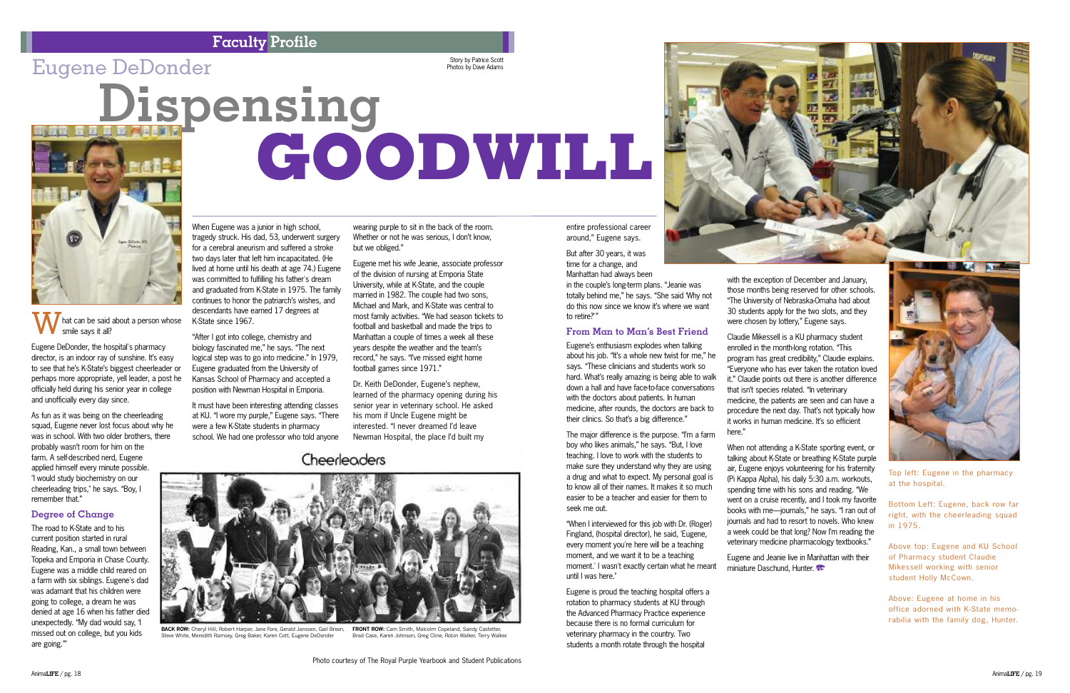

entire professional career around," Eugene says.

But after 30 years, it was time for a change, and Manhattan had always been

in the couple's long-term plans. "Jeanie was totally behind me," he says. "She said 'Why not do this now since we know it's where we want to retire?'"

#### **From Man to Man's Best Friend**

Eugene's enthusiasm explodes when talking about his job. "It's a whole new twist for me," he says. "These clinicians and students work so hard. What's really amazing is being able to walk down a hall and have face-to-face conversations with the doctors about patients. In human medicine, after rounds, the doctors are back to their clinics. So that's a big difference."

The major difference is the purpose. "I'm a farm boy who likes animals," he says. "But, I love teaching. I love to work with the students to make sure they understand why they are using a drug and what to expect. My personal goal is to know all of their names. It makes it so much easier to be a teacher and easier for them to seek me out.

"When I interviewed for this job with Dr. (Roger) Fingland, (hospital director), he said, 'Eugene, every moment you're here will be a teaching moment, and we want it to be a teaching moment.' I wasn't exactly certain what he meant until I was here."

Eugene and Jeanie live in Manhattan with their miniature Daschund, Hunter.

#### Gescendaris have e<br>K-State since 1967.<br>"After I got into colle smile says it all?

Eugene is proud the teaching hospital offers a rotation to pharmacy students at KU through the Advanced Pharmacy Practice experience because there is no formal curriculum for veterinary pharmacy in the country. Two students a month rotate through the hospital

with the exception of December and January, those months being reserved for other schools. "The University of Nebraska-Omaha had about 30 students apply for the two slots, and they were chosen by lottery," Eugene says.

Claudie Mikessell is a KU pharmacy student enrolled in the month-long rotation. "This program has great credibility," Claudie explains. "Everyone who has ever taken the rotation loved it." Claudie points out there is another difference that isn't species related. "In veterinary medicine, the patients are seen and can have a procedure the next day. That's not typically how it works in human medicine. It's so efficient here."

When not attending a K-State sporting event, or talking about K-State or breathing K-State purple air, Eugene enjoys volunteering for his fraternity (Pi Kappa Alpha), his daily 5:30 a.m. workouts, spending time with his sons and reading. "We went on a cruise recently, and I took my favorite books with me—journals," he says. "I ran out of journals and had to resort to novels. Who knew a week could be that long? Now I'm reading the veterinary medicine pharmacology textbooks."

Eugene DeDonder, the hospital's pharmacy director, is an indoor ray of sunshine. It's easy to see that he's K-State's biggest cheerleader or perhaps more appropriate, yell leader, a post he officially held during his senior year in college and unofficially every day since.

> **FRONT ROW:** Cam Smith, Malcolm Copeland, Sandy Castetter Brad Case, Karen Johnson, Greg Cline, Robin Walker, Terry Walker.

As fun as it was being on the cheerleading squad, Eugene never lost focus about why he was in school. With two older brothers, there probably wasn't room for him on the farm. A self-described nerd, Eugene applied himself every minute possible. "I would study biochemistry on our cheerleading trips," he says. "Boy, I remember that."

#### **Degree of Change**

The road to K-State and to his current position started in rural Reading, Kan., a small town between Topeka and Emporia in Chase County. Eugene was a middle child reared on a farm with six siblings. Eugene's dad was adamant that his children were going to college, a dream he was denied at age 16 when his father died unexpectedly. "My dad would say, 'I missed out on college, but you kids are going.'"

#### When Eugene was a junior in high school, tragedy struck. His dad, 53, underwent surgery for a cerebral aneurism and suffered a stroke two days later that left him incapacitated. (He lived at home until his death at age 74.) Eugene was committed to fulfilling his father's dream and graduated from K-State in 1975. The family continues to honor the patriarch's wishes, and descendants have earned 17 degrees at

"After I got into college, chemistry and biology fascinated me," he says. "The next logical step was to go into medicine." In 1979, Eugene graduated from the University of Kansas School of Pharmacy and accepted a position with Newman Hospital in Emporia.

It must have been interesting attending classes at KU. "I wore my purple," Eugene says. "There were a few K-State students in pharmacy school. We had one professor who told anyone

## Cheerleaders

wearing purple to sit in the back of the room. Whether or not he was serious, I don't know,

but we obliged."

Eugene met his wife Jeanie, associate professor of the division of nursing at Emporia State University, while at K-State, and the couple married in 1982. The couple had two sons, Michael and Mark, and K-State was central to most family activities. "We had season tickets to football and basketball and made the trips to Manhattan a couple of times a week all these years despite the weather and the team's record," he says. "I've missed eight home

football games since 1971."

Dr. Keith DeDonder, Eugene's nephew, learned of the pharmacy opening during his senior year in veterinary school. He asked his mom if Uncle Eugene might be interested. "I never dreamed I'd leave Newman Hospital, the place I'd built my

**GOODWILL**

**Dispensing**



Top left: Eugene in the pharmacy at the hospital.

Bottom Left: Eugene, back row far right, with the cheerleading squad in 1975.

Above top: Eugene and KU School of Pharmacy student Claudie Mikessell working with senior student Holly McCown.

Above: Eugene at home in his office adorned with K-State memorabilia with the family dog, Hunter.

#### **Faculty Profile**

## $\rm{Eugene}\; DeDonder$  and the control of  $\rm{F}^{Story\;by\;Patrice\;Scott}_{\rm{Photos\;by\;Dave\;Adams}}$

Story by Patrice Scott<br>Photos by Dave Adams



**BACK ROW:** Cheryl Hill, Robert Harper, Jane Fore, Gerald Janssen, Gail Breen, Steve White, Meredith Ramsey, Greg Baker, Karen Cott, Eugene DeDonder